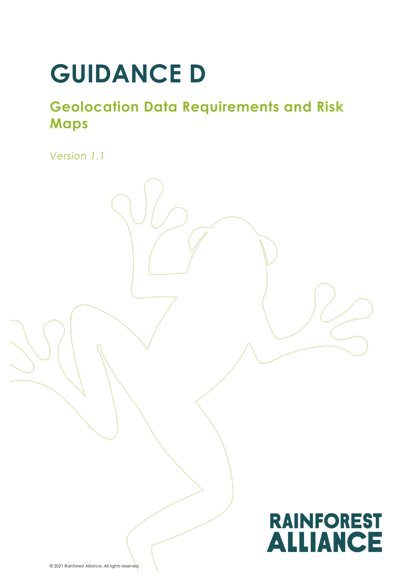# **GUIDANCE D**

# **Geolocation Data Requirements and Risk Maps**

*Version 1.1*

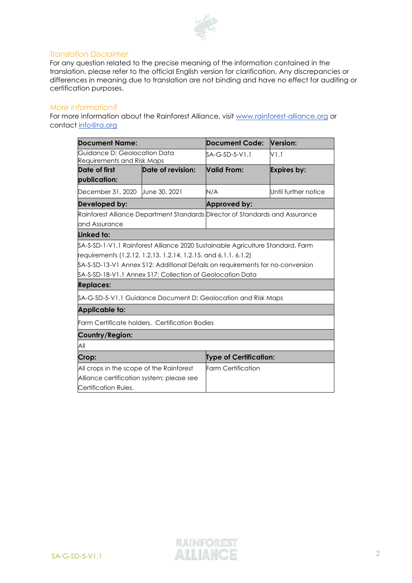

#### *Translation Disclaimer*

For any question related to the precise meaning of the information contained in the translation, please refer to the official English version for clarification. Any discrepancies or differences in meaning due to translation are not binding and have no effect for auditing or certification purposes.

#### *More information?*

For more information about the Rainforest Alliance, visit [www.rainforest-alliance.org](http://www.rainforest-alliance.org/) or contact [info@ra.org](mailto:info@ra.org)

| <b>Document Name:</b>                                                        |                                                                                 | <b>Document Code:</b>         | Version:             |
|------------------------------------------------------------------------------|---------------------------------------------------------------------------------|-------------------------------|----------------------|
| Guidance D: Geolocation Data<br>Requirements and Risk Maps                   |                                                                                 | SA-G-SD-5-V1.1                | V1.1                 |
| Date of first                                                                | Date of revision:                                                               | Valid From:                   | <b>Expires by:</b>   |
| publication:                                                                 |                                                                                 |                               |                      |
| December 31, 2020 Uune 30, 2021                                              |                                                                                 | N/A                           | Until further notice |
| Developed by:                                                                |                                                                                 | Approved by:                  |                      |
| Rainforest Alliance Department Standards Director of Standards and Assurance |                                                                                 |                               |                      |
| and Assurance                                                                |                                                                                 |                               |                      |
| Linked to:                                                                   |                                                                                 |                               |                      |
|                                                                              | \$A-S-SD-1-V1.1 Rainforest Alliance 2020 Sustainable Agriculture Standard, Farm |                               |                      |
| requirements (1.2.12. 1.2.13. 1.2.14. 1.2.15. and 6.1.1. 6.1.2)              |                                                                                 |                               |                      |
|                                                                              | \$A-S-SD-13-V1 Annex \$12: Additional Details on requirements for no-conversion |                               |                      |
|                                                                              | \$A-\$-\$D-18-V1.1 Annex \$17: Collection of Geolocation Data                   |                               |                      |
| <b>Replaces:</b>                                                             |                                                                                 |                               |                      |
|                                                                              | \$A-G-SD-5-V1.1 Guidance Document D: Geolocation and Risk Maps                  |                               |                      |
| <b>Applicable to:</b>                                                        |                                                                                 |                               |                      |
|                                                                              | Farm Certificate holders, Certification Bodies                                  |                               |                      |
| Country/Region:                                                              |                                                                                 |                               |                      |
| All                                                                          |                                                                                 |                               |                      |
| Crop:                                                                        |                                                                                 | <b>Type of Certification:</b> |                      |
| All crops in the scope of the Rainforest                                     |                                                                                 | <b>Farm Certification</b>     |                      |
| Alliance certification system; please see                                    |                                                                                 |                               |                      |
| Certification Rules.                                                         |                                                                                 |                               |                      |

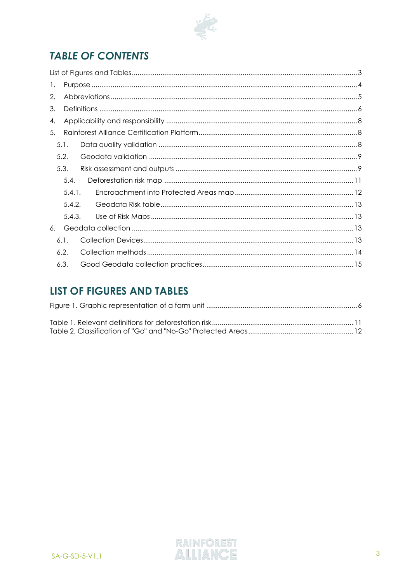

# **TABLE OF CONTENTS**

| 1. |        |  |  |
|----|--------|--|--|
| 2. |        |  |  |
| 3. |        |  |  |
| 4. |        |  |  |
| 5. |        |  |  |
|    | 5.1.   |  |  |
|    | 5.2.   |  |  |
|    | 5.3.   |  |  |
|    | 5.4.   |  |  |
|    | 5.4.1. |  |  |
|    | 5.4.2. |  |  |
|    | 5.4.3. |  |  |
| 6. |        |  |  |
|    | 6.1.   |  |  |
|    | 6.2.   |  |  |
|    | 6.3.   |  |  |
|    |        |  |  |

# <span id="page-2-0"></span>**LIST OF FIGURES AND TABLES**

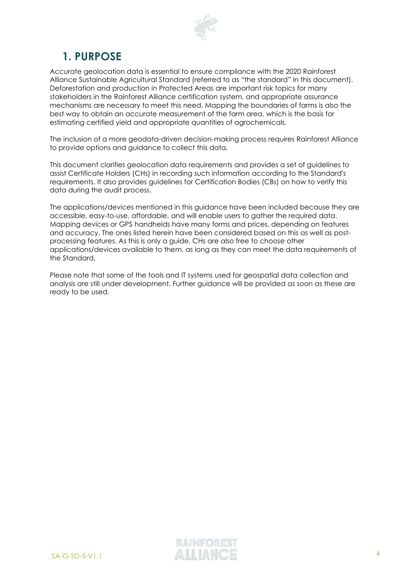

# <span id="page-3-0"></span>**1. PURPOSE**

Accurate geolocation data is essential to ensure compliance with the 2020 Rainforest Alliance Sustainable Agricultural Standard (referred to as "the standard" in this document). Deforestation and production in Protected Areas are important risk topics for many stakeholders in the Rainforest Alliance certification system, and appropriate assurance mechanisms are necessary to meet this need. Mapping the boundaries of farms is also the best way to obtain an accurate measurement of the farm area, which is the basis for estimating certified yield and appropriate quantities of agrochemicals.

The inclusion of a more geodata-driven decision-making process requires Rainforest Alliance to provide options and guidance to collect this data.

This document clarifies geolocation data requirements and provides a set of guidelines to assist Certificate Holders (CHs) in recording such information according to the Standard's requirements. It also provides guidelines for Certification Bodies (CBs) on how to verify this data during the audit process.

The applications/devices mentioned in this guidance have been included because they are accessible, easy-to-use, affordable, and will enable users to gather the required data. Mapping devices or GPS handhelds have many forms and prices, depending on features and accuracy. The ones listed herein have been considered based on this as well as postprocessing features. As this is only a guide, CHs are also free to choose other applications/devices available to them, as long as they can meet the data requirements of the Standard.

Please note that some of the tools and IT systems used for geospatial data collection and analysis are still under development. Further guidance will be provided as soon as these are ready to be used.

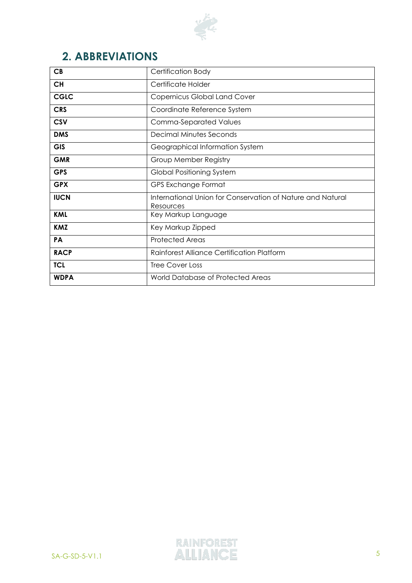

# <span id="page-4-0"></span>**2. ABBREVIATIONS**

<span id="page-4-1"></span>

| CB          | <b>Certification Body</b>                                               |
|-------------|-------------------------------------------------------------------------|
| <b>CH</b>   | Certificate Holder                                                      |
| <b>CGLC</b> | <b>Copernicus Global Land Cover</b>                                     |
| <b>CRS</b>  | Coordinate Reference System                                             |
| <b>CSV</b>  | <b>Comma-Separated Values</b>                                           |
| <b>DMS</b>  | <b>Decimal Minutes Seconds</b>                                          |
| <b>GIS</b>  | Geographical Information System                                         |
| <b>GMR</b>  | Group Member Registry                                                   |
| <b>GPS</b>  | <b>Global Positioning System</b>                                        |
| <b>GPX</b>  | GPS Exchange Format                                                     |
| <b>IUCN</b> | International Union for Conservation of Nature and Natural<br>Resources |
| <b>KML</b>  | Key Markup Language                                                     |
| <b>KMZ</b>  | Key Markup Zipped                                                       |
| PA          | <b>Protected Areas</b>                                                  |
| <b>RACP</b> | <b>Rainforest Alliance Certification Platform</b>                       |
| <b>TCL</b>  | Tree Cover Loss                                                         |
| <b>WDPA</b> | World Database of Protected Areas                                       |

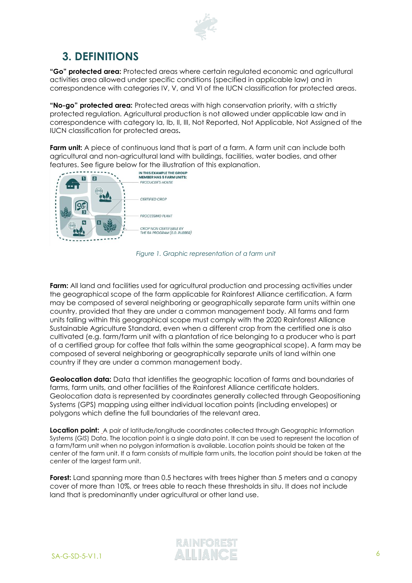

# <span id="page-5-0"></span>**3. DEFINITIONS**

**"Go" protected area:** Protected areas where certain regulated economic and agricultural activities area allowed under specific conditions (specified in applicable law) and in correspondence with categories IV, V, and VI of the IUCN classification for protected areas.

**"No-go" protected area:** Protected areas with high conservation priority, with a strictly protected regulation. Agricultural production is not allowed under applicable law and in correspondence with category Ia, Ib, II, III, Not Reported, Not Applicable, Not Assigned of the IUCN classification for protected areas**.**

**Farm unit:** A piece of continuous land that is part of a farm. A farm unit can include both agricultural and non-agricultural land with buildings, facilities, water bodies, and other features. See figure below for the illustration of this explanation.<br> **EXAMPLE THE GROUP** 



*Figure 1. Graphic representation of a farm unit*

<span id="page-5-1"></span>**Farm:** All land and facilities used for agricultural production and processing activities under the geographical scope of the farm applicable for Rainforest Alliance certification. A farm may be composed of several neighboring or geographically separate farm units within one country, provided that they are under a common management body. All farms and farm units falling within this geographical scope must comply with the 2020 Rainforest Alliance Sustainable Agriculture Standard, even when a different crop from the certified one is also cultivated (e.g. farm/farm unit with a plantation of rice belonging to a producer who is part of a certified group for coffee that falls within the same geographical scope). A farm may be composed of several neighboring or geographically separate units of land within one country if they are under a common management body.

**Geolocation data:** Data that identifies the geographic location of farms and boundaries of farms, farm units, and other facilities of the Rainforest Alliance certificate holders. Geolocation data is represented by coordinates generally collected through Geopositioning Systems (GPS) mapping using either individual location points (including envelopes) or polygons which define the full boundaries of the relevant area.

**Location point:** A pair of latitude/longitude coordinates collected through Geographic Information Systems (*GIS*) Data. The location point is a single data point. It can be used to represent the location of a farm/farm unit when no polygon information is available. Location points should be taken at the center of the farm unit. If a farm consists of multiple farm units, the location point should be taken at the center of the largest farm unit.

**Forest:** Land spanning more than 0.5 hectares with trees higher than 5 meters and a canopy cover of more than 10%, or trees able to reach these thresholds in situ. It does not include land that is predominantly under agricultural or other land use.

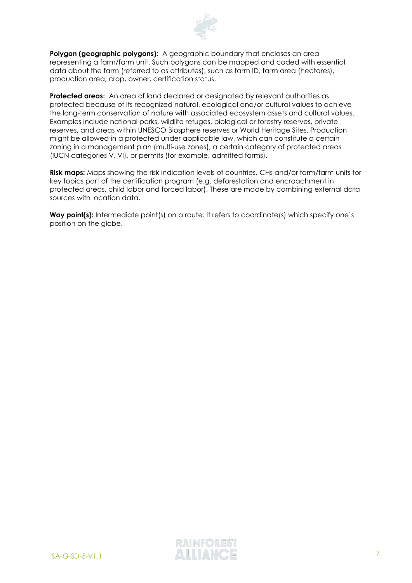

**Polygon (geographic polygons):** A geographic boundary that encloses an area representing a farm/farm unit. Such polygons can be mapped and coded with essential data about the farm (referred to as attributes), such as farm ID, farm area (hectares), production area, crop, owner, certification status.

**Protected areas:** An area of land declared or designated by relevant authorities as protected because of its recognized natural, ecological and/or cultural values to achieve the long-term conservation of nature with associated ecosystem assets and cultural values. Examples include national parks, wildlife refuges, biological or forestry reserves, private reserves, and areas within UNESCO Biosphere reserves or World Heritage Sites. Production might be allowed in a protected under applicable law, which can constitute a certain zoning in a management plan (multi-use zones), a certain category of protected areas (IUCN categories V, VI), or permits (for example, admitted farms).

**Risk maps:** Maps showing the risk indication levels of countries, CHs and/or farm/farm units for key topics part of the certification program (e.g. deforestation and encroachment in protected areas, child labor and forced labor). These are made by combining external data sources with location data.

Way point(s): Intermediate point(s) on a route. It refers to coordinate(s) which specify one's position on the globe.

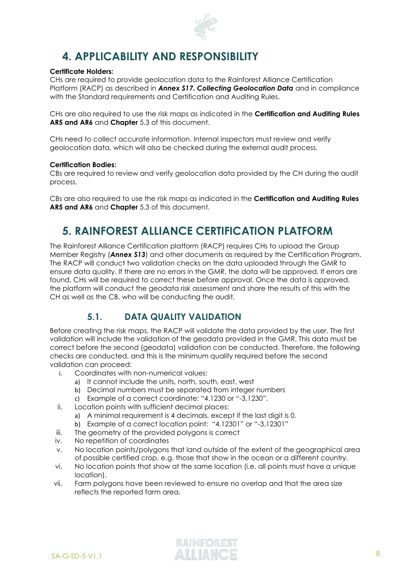

# <span id="page-7-0"></span>**4. APPLICABILITY AND RESPONSIBILITY**

#### **Certificate Holders:**

CHs are required to provide geolocation data to the Rainforest Alliance Certification Platform (RACP) as described in *Annex S17. Collecting Geolocation Data* and in compliance with the Standard requirements and Certification and Auditing Rules.

CHs are also required to use the risk maps as indicated in the **Certification and Auditing Rules AR5 and AR6** and **Chapter** [5.3](#page-8-1) of this document.

CHs need to collect accurate information. Internal inspectors must review and verify geolocation data, which will also be checked during the external audit process.

#### **Certification Bodies:**

CBs are required to review and verify geolocation data provided by the CH during the audit process.

CBs are also required to use the risk maps as indicated in the **Certification and Auditing Rules AR5 and AR6** and **Chapter** [5.3](#page-8-1) of this document.

## <span id="page-7-1"></span>**5. RAINFOREST ALLIANCE CERTIFICATION PLATFORM**

The Rainforest Alliance Certification platform (RACP) requires CHs to upload the Group Member Registry (*Annex S13*) and other documents as required by the Certification Program. The RACP will conduct two validation checks on the data uploaded through the GMR to ensure data quality. If there are no errors in the GMR, the data will be approved. If errors are found, CHs will be required to correct these before approval. Once the data is approved, the platform will conduct the geodata risk assessment and share the results of this with the CH as well as the CB, who will be conducting the audit.

## **5.1. DATA QUALITY VALIDATION**

<span id="page-7-2"></span>Before creating the risk maps, the RACP will validate the data provided by the user. The first validation will include the validation of the geodata provided in the GMR. This data must be correct before the second (geodata) validation can be conducted. Therefore, the following checks are conducted, and this is the minimum quality required before the second validation can proceed:

- i. Coordinates with non-numerical values:
	- a) It cannot include the units, north, south, east, west
	- b) Decimal numbers must be separated from integer numbers
	- c) Example of a correct coordinate: "4.1230 or "-3.1230".
- ii. Location points with sufficient decimal places:
	- a) A minimal requirement is 4 decimals, except if the last digit is 0.
	- b) Example of a correct location point: "4.12301" or "-3.12301"
- iii. The geometry of the provided polygons is correct
- iv. No repetition of coordinates
- v. No location points/polygons that land outside of the extent of the geographical area of possible certified crop, e.g. those that show in the ocean or a different country.
- vi. No location points that show at the same location (i.e. all points must have a unique location).
- vii. Farm polygons have been reviewed to ensure no overlap and that the area size reflects the reported farm area.

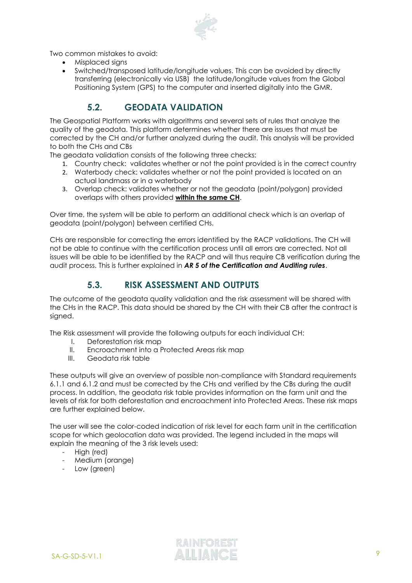

Two common mistakes to avoid:

- Misplaced signs
- Switched/transposed latitude/longitude values. This can be avoided by directly transferring (electronically via USB) the latitude/longitude values from the Global Positioning System (GPS) to the computer and inserted digitally into the GMR.

## **5.2. GEODATA VALIDATION**

<span id="page-8-0"></span>The Geospatial Platform works with algorithms and several sets of rules that analyze the quality of the geodata. This platform determines whether there are issues that must be corrected by the CH and/or further analyzed during the audit. This analysis will be provided to both the CHs and CBs

The geodata validation consists of the following three checks:

- 1. Country check: validates whether or not the point provided is in the correct country
- 2. Waterbody check: validates whether or not the point provided is located on an actual landmass or in a waterbody
- 3. Overlap check: validates whether or not the geodata (point/polygon) provided overlaps with others provided **within the same CH**.

Over time, the system will be able to perform an additional check which is an overlap of geodata (point/polygon) between certified CHs.

CHs are responsible for correcting the errors identified by the RACP validations. The CH will not be able to continue with the certification process until all errors are corrected. Not all issues will be able to be identified by the RACP and will thus require CB verification during the audit process. This is further explained in *AR 5 of the Certification and Auditing rules*.

## **5.3. RISK ASSESSMENT AND OUTPUTS**

<span id="page-8-1"></span>The outcome of the geodata quality validation and the risk assessment will be shared with the CHs in the RACP. This data should be shared by the CH with their CB after the contract is signed.

The Risk assessment will provide the following outputs for each individual CH:

- I. Deforestation risk map
- II. Encroachment into a Protected Areas risk map
- III. Geodata risk table

These outputs will give an overview of possible non-compliance with Standard requirements 6.1.1 and 6.1.2 and must be corrected by the CHs and verified by the CBs during the audit process. In addition, the geodata risk table provides information on the farm unit and the levels of risk for both deforestation and encroachment into Protected Areas. These risk maps are further explained below.

The user will see the color-coded indication of risk level for each farm unit in the certification scope for which geolocation data was provided. The legend included in the maps will explain the meaning of the 3 risk levels used:

- High (red)
- Medium (orange)
- Low (green)

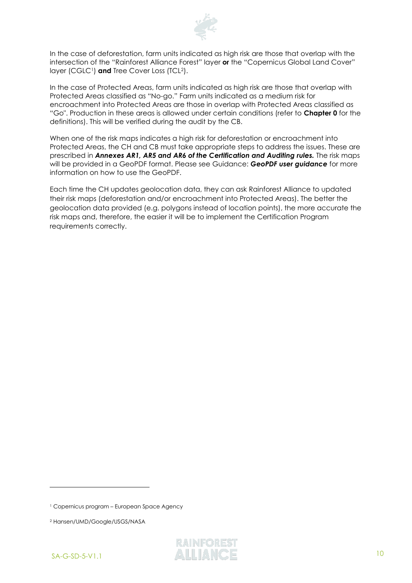

In the case of deforestation, farm units indicated as high risk are those that overlap with the intersection of the "Rainforest Alliance Forest" layer **or** the "Copernicus Global Land Cover" layer (CGLC<sup>1</sup>) and Tree Cover Loss (TCL<sup>2</sup>).

In the case of Protected Areas, farm units indicated as high risk are those that overlap with Protected Areas classified as "No-go." Farm units indicated as a medium risk for encroachment into Protected Areas are those in overlap with Protected Areas classified as "Go". Production in these areas is allowed under certain conditions (refer to **Chapter [0](#page-4-1)** for the definitions). This will be verified during the audit by the CB.

When one of the risk maps indicates a high risk for deforestation or encroachment into Protected Areas, the CH and CB must take appropriate steps to address the issues. These are prescribed in *Annexes AR1, AR5 and AR6 of the Certification and Auditing rules.* The risk maps will be provided in a GeoPDF format. Please see Guidance: *GeoPDF user guidance* for more information on how to use the GeoPDF.

Each time the CH updates geolocation data, they can ask Rainforest Alliance to updated their risk maps (deforestation and/or encroachment into Protected Areas). The better the geolocation data provided (e.g. polygons instead of location points), the more accurate the risk maps and, therefore, the easier it will be to implement the Certification Program requirements correctly.

<sup>2</sup> Hansen/UMD/Google/USGS/NASA



<sup>1</sup> Copernicus program – European Space Agency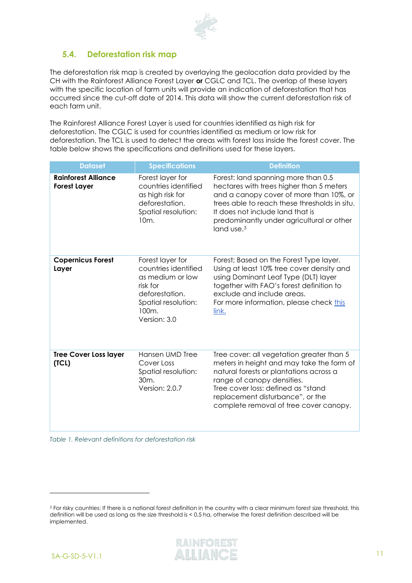

## <span id="page-10-0"></span>**5.4. Deforestation risk map**

The deforestation risk map is created by overlaying the geolocation data provided by the CH with the Rainforest Alliance Forest Layer **or** CGLC and TCL. The overlap of these layers with the specific location of farm units will provide an indication of deforestation that has occurred since the cut-off date of 2014. This data will show the current deforestation risk of each farm unit.

The Rainforest Alliance Forest Layer is used for countries identified as high risk for deforestation. The CGLC is used for countries identified as medium or low risk for deforestation. The TCL is used to detect the areas with forest loss inside the forest cover. The table below shows the specifications and definitions used for these layers.

| <b>Dataset</b>                                    | <b>Specifications</b>                                                                                                                      | <b>Definition</b>                                                                                                                                                                                                                                                                      |
|---------------------------------------------------|--------------------------------------------------------------------------------------------------------------------------------------------|----------------------------------------------------------------------------------------------------------------------------------------------------------------------------------------------------------------------------------------------------------------------------------------|
| <b>Rainforest Alliance</b><br><b>Forest Layer</b> | Forest layer for<br>countries identified<br>as high risk for<br>deforestation.<br>Spatial resolution:<br>10 <sub>m</sub> .                 | Forest: land spanning more than 0.5<br>hectares with trees higher than 5 meters<br>and a canopy cover of more than 10%, or<br>trees able to reach these thresholds in situ.<br>It does not include land that is<br>predominantly under agricultural or other<br>land use. <sup>3</sup> |
| <b>Copernicus Forest</b><br>Layer                 | Forest layer for<br>countries identified<br>as medium or low<br>risk for<br>deforestation.<br>Spatial resolution:<br>100m.<br>Version: 3.0 | Forest; Based on the Forest Type layer.<br>Using at least 10% tree cover density and<br>using Dominant Leaf Type (DLT) layer<br>together with FAO's forest definition to<br>exclude and include areas.<br>For more information, please check this<br>link.                             |
| <b>Tree Cover Loss layer</b><br>(TCL)             | Hansen UMD Tree<br>Cover Loss<br>Spatial resolution:<br>30 <sub>m</sub><br>Version: 2.0.7                                                  | Tree cover: all vegetation greater than 5<br>meters in height and may take the form of<br>natural forests or plantations across a<br>range of canopy densities.<br>Tree cover loss: defined as "stand<br>replacement disturbance", or the<br>complete removal of tree cover canopy.    |

<span id="page-10-1"></span>*Table 1. Relevant definitions for deforestation risk*

<sup>&</sup>lt;sup>3</sup> For risky countries: If there is a national forest definition in the country with a clear minimum forest size threshold, this definition will be used as long as the size threshold is < 0.5 ha, otherwise the forest definition described will be implemented.

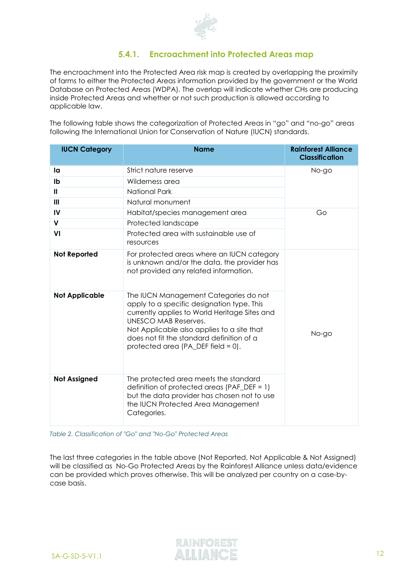

### **5.4.1. Encroachment into Protected Areas map**

<span id="page-11-0"></span>The encroachment into the Protected Area risk map is created by overlapping the proximity of farms to either the Protected Areas information provided by the government or the World Database on Protected Areas (WDPA). The overlap will indicate whether CHs are producing inside Protected Areas and whether or not such production is allowed according to applicable law.

The following table shows the categorization of Protected Areas in "go" and "no-go" areas following the International Union for Conservation of Nature (IUCN) standards.

| <b>IUCN Category</b>  | <b>Name</b>                                                                                                                                                                                                                                                                                   | <b>Rainforest Alliance</b><br><b>Classification</b> |
|-----------------------|-----------------------------------------------------------------------------------------------------------------------------------------------------------------------------------------------------------------------------------------------------------------------------------------------|-----------------------------------------------------|
| la                    | Strict nature reserve                                                                                                                                                                                                                                                                         | No-go                                               |
| Ib                    | Wilderness area                                                                                                                                                                                                                                                                               |                                                     |
| $\mathbf{H}$          | National Park                                                                                                                                                                                                                                                                                 |                                                     |
| III                   | Natural monument                                                                                                                                                                                                                                                                              |                                                     |
| IV                    | Habitat/species management area                                                                                                                                                                                                                                                               | Go                                                  |
| $\mathsf{V}$          | Protected landscape                                                                                                                                                                                                                                                                           |                                                     |
| VI                    | Protected area with sustainable use of<br>resources                                                                                                                                                                                                                                           |                                                     |
| <b>Not Reported</b>   | For protected areas where an IUCN category<br>is unknown and/or the data, the provider has<br>not provided any related information.                                                                                                                                                           |                                                     |
| <b>Not Applicable</b> | The IUCN Management Categories do not<br>apply to a specific designation type. This<br>currently applies to World Heritage Sites and<br>UNESCO MAB Reserves.<br>Not Applicable also applies to a site that<br>does not fit the standard definition of a<br>protected area (PA_DEF field = 0). | No-go                                               |
| <b>Not Assigned</b>   | The protected area meets the standard<br>definition of protected areas (PAF_DEF = 1)<br>but the data provider has chosen not to use<br>the IUCN Protected Area Management<br>Categories.                                                                                                      |                                                     |

<span id="page-11-1"></span>*Table 2. Classification of "Go" and "No-Go" Protected Areas*

The last three categories in the table above (Not Reported, Not Applicable & Not Assigned) will be classified as No-Go Protected Areas by the Rainforest Alliance unless data/evidence can be provided which proves otherwise. This will be analyzed per country on a case-bycase basis.

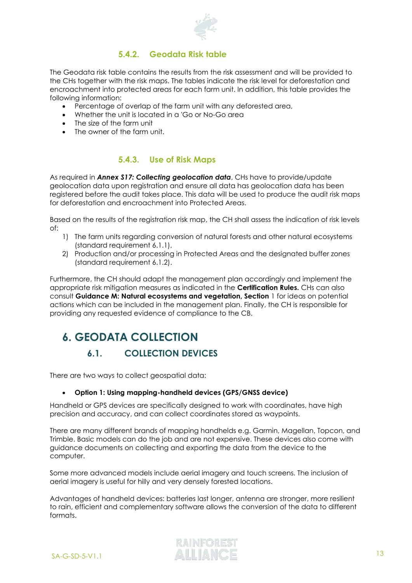

## **5.4.2. Geodata Risk table**

<span id="page-12-0"></span>The Geodata risk table contains the results from the risk assessment and will be provided to the CHs together with the risk maps. The tables indicate the risk level for deforestation and encroachment into protected areas for each farm unit. In addition, this table provides the following information:

- Percentage of overlap of the farm unit with any deforested area,
- Whether the unit is located in a 'Go or No-Go area
- The size of the farm unit
- The owner of the farm unit.

### **5.4.3. Use of Risk Maps**

<span id="page-12-1"></span>As required in *Annex S17: Collecting geolocation data*, CHs have to provide/update geolocation data upon registration and ensure all data has geolocation data has been registered before the audit takes place. This data will be used to produce the audit risk maps for deforestation and encroachment into Protected Areas.

Based on the results of the registration risk map, the CH shall assess the indication of risk levels of:

- 1) The farm units regarding conversion of natural forests and other natural ecosystems (standard requirement 6.1.1),
- 2) Production and/or processing in Protected Areas and the designated buffer zones (standard requirement 6.1.2).

Furthermore, the CH should adapt the management plan accordingly and implement the appropriate risk mitigation measures as indicated in the **Certification Rules.** CHs can also consult **Guidance M: Natural ecosystems and vegetation, Section** 1 for ideas on potential actions which can be included in the management plan. Finally, the CH is responsible for providing any requested evidence of compliance to the CB.

# <span id="page-12-3"></span><span id="page-12-2"></span>**6. GEODATA COLLECTION**

## **6.1. COLLECTION DEVICES**

There are two ways to collect geospatial data:

#### • **Option 1: Using mapping-handheld devices (GPS/GNSS device)**

Handheld or GPS devices are specifically designed to work with coordinates, have high precision and accuracy, and can collect coordinates stored as waypoints.

There are many different brands of mapping handhelds e.g. Garmin, Magellan, Topcon, and Trimble. Basic models can do the job and are not expensive. These devices also come with guidance documents on collecting and exporting the data from the device to the computer.

Some more advanced models include aerial imagery and touch screens. The inclusion of aerial imagery is useful for hilly and very densely forested locations.

Advantages of handheld devices: batteries last longer, antenna are stronger, more resilient to rain, efficient and complementary software allows the conversion of the data to different formats.

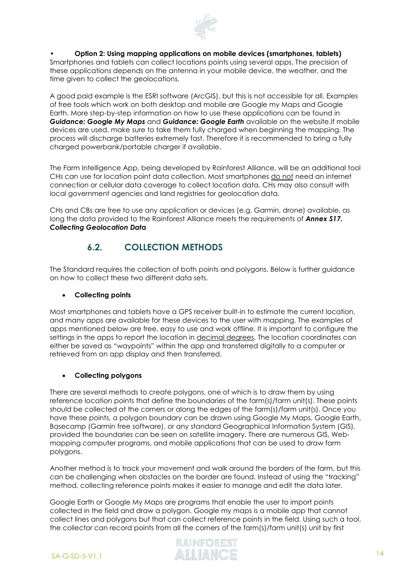

#### • **Option 2: Using mapping applications on mobile devices (smartphones, tablets)**

Smartphones and tablets can collect locations points using several apps. The precision of these applications depends on the antenna in your mobile device, the weather, and the time given to collect the geolocations.

A good paid example is the ESRI software (ArcGIS), but this is not accessible for all. Examples of free tools which work on both desktop and mobile are Google my Maps and Google Earth. More step-by-step information on how to use these applications can be found in *Guidance: Google My Maps* and *Guidance: Google Earth* available on the website.If mobile devices are used, make sure to take them fully charged when beginning the mapping. The process will discharge batteries extremely fast. Therefore it is recommended to bring a fully charged powerbank/portable charger if available.

The Farm Intelligence App, being developed by Rainforest Alliance, will be an additional tool CHs can use for location point data collection. Most smartphones do not need an internet connection or cellular data coverage to collect location data. CHs may also consult with local government agencies and land registries for geolocation data.

CHs and CBs are free to use any application or devices (e.g. Garmin, drone) available, as long the data provided to the Rainforest Alliance meets the requirements of *Annex S17. Collecting Geolocation Data*

## **6.2. COLLECTION METHODS**

<span id="page-13-0"></span>The Standard requires the collection of both points and polygons. Below is further guidance on how to collect these two different data sets.

#### • **Collecting points**

Most smartphones and tablets have a GPS receiver built-in to estimate the current location, and many apps are available for these devices to the user with mapping. The examples of apps mentioned below are free, easy to use and work offline. It is important to configure the settings in the apps to report the location in decimal degrees. The location coordinates can either be saved as "waypoints" within the app and transferred digitally to a computer or retrieved from an app display and then transferred.

#### • **Collecting polygons**

There are several methods to create polygons, one of which is to draw them by using reference location points that define the boundaries of the farm(s)/farm unit(s). These points should be collected at the corners or along the edges of the farm(s)/farm unit(s). Once you have these points, a polygon boundary can be drawn using Google My Maps, Google Earth, Basecamp (Garmin free software), or any standard Geographical Information System (GIS), provided the boundaries can be seen on satellite imagery. There are numerous GIS, Webmapping computer programs, and mobile applications that can be used to draw farm polygons.

Another method is to track your movement and walk around the borders of the farm, but this can be challenging when obstacles on the border are found. Instead of using the "tracking" method, collecting reference points makes it easier to manage and edit the data later.

Google Earth or Google My Maps are programs that enable the user to import points collected in the field and draw a polygon. Google my maps is a mobile app that cannot collect lines and polygons but that can collect reference points in the field. Using such a tool, the collector can record points from all the corners of the farm(s)/farm unit(s) unit by first